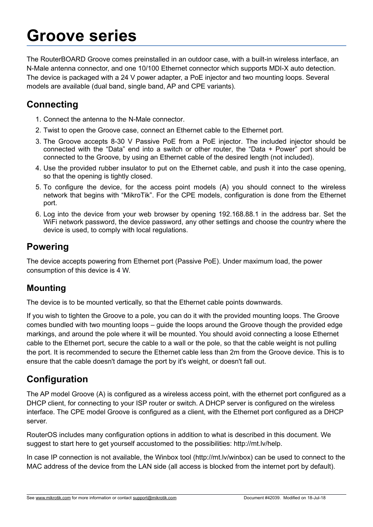### **Groove series**

The RouterBOARD Groove comes preinstalled in an outdoor case, with a built-in wireless interface, an N-Male antenna connector, and one 10/100 Ethernet connector which supports MDI-X auto detection. The device is packaged with a 24 V power adapter, a PoE injector and two mounting loops. Several models are available (dual band, single band, AP and CPE variants).

#### **Connecting**

- 1. Connect the antenna to the N-Male connector.
- 2. Twist to open the Groove case, connect an Ethernet cable to the Ethernet port.
- 3. The Groove accepts 8-30 V Passive PoE from a PoE injector. The included injector should be connected with the "Data" end into a switch or other router, the "Data + Power" port should be connected to the Groove, by using an Ethernet cable of the desired length (not included).
- 4. Use the provided rubber insulator to put on the Ethernet cable, and push it into the case opening, so that the opening is tightly closed.
- 5. To configure the device, for the access point models (A) you should connect to the wireless network that begins with "MikroTik". For the CPE models, configuration is done from the Ethernet port.
- 6. Log into the device from your web browser by opening 192.168.88.1 in the address bar. Set the WiFi network password, the device password, any other settings and choose the country where the device is used, to comply with local regulations.

#### **Powering**

The device accepts powering from Ethernet port (Passive PoE). Under maximum load, the power consumption of this device is 4 W.

#### **Mounting**

The device is to be mounted vertically, so that the Ethernet cable points downwards.

If you wish to tighten the Groove to a pole, you can do it with the provided mounting loops. The Groove comes bundled with two mounting loops – guide the loops around the Groove though the provided edge markings, and around the pole where it will be mounted. You should avoid connecting a loose Ethernet cable to the Ethernet port, secure the cable to a wall or the pole, so that the cable weight is not pulling the port. It is recommended to secure the Ethernet cable less than 2m from the Groove device. This is to ensure that the cable doesn't damage the port by it's weight, or doesn't fall out.

#### **Configuration**

The AP model Groove (A) is configured as a wireless access point, with the ethernet port configured as a DHCP client, for connecting to your ISP router or switch. A DHCP server is configured on the wireless interface. The CPE model Groove is configured as a client, with the Ethernet port configured as a DHCP server.

RouterOS includes many configuration options in addition to what is described in this document. We suggest to start here to get yourself accustomed to the possibilities: http://mt.lv/help.

In case IP connection is not available, the Winbox tool (http://mt.lv/winbox) can be used to connect to the MAC address of the device from the LAN side (all access is blocked from the internet port by default).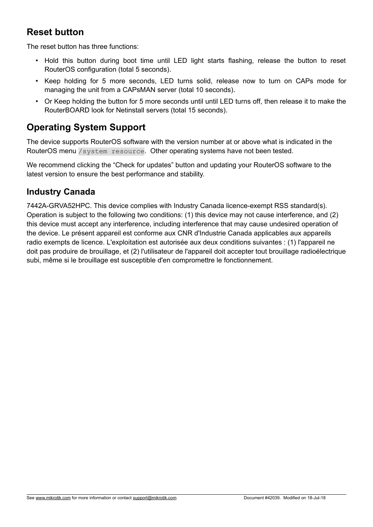#### **Reset button**

The reset button has three functions:

- Hold this button during boot time until LED light starts flashing, release the button to reset RouterOS configuration (total 5 seconds).
- Keep holding for 5 more seconds, LED turns solid, release now to turn on CAPs mode for managing the unit from a CAPsMAN server (total 10 seconds).
- Or Keep holding the button for 5 more seconds until until LED turns off, then release it to make the RouterBOARD look for Netinstall servers (total 15 seconds).

#### **Operating System Support**

The device supports RouterOS software with the version number at or above what is indicated in the RouterOS menu /system resource. Other operating systems have not been tested.

We recommend clicking the "Check for updates" button and updating your RouterOS software to the latest version to ensure the best performance and stability.

#### **Industry Canada**

7442A-GRVA52HPC. This device complies with Industry Canada licence-exempt RSS standard(s). Operation is subject to the following two conditions: (1) this device may not cause interference, and (2) this device must accept any interference, including interference that may cause undesired operation of the device. Le présent appareil est conforme aux CNR d'Industrie Canada applicables aux appareils radio exempts de licence. L'exploitation est autorisée aux deux conditions suivantes : (1) l'appareil ne doit pas produire de brouillage, et (2) l'utilisateur de l'appareil doit accepter tout brouillage radioélectrique subi, même si le brouillage est susceptible d'en compromettre le fonctionnement.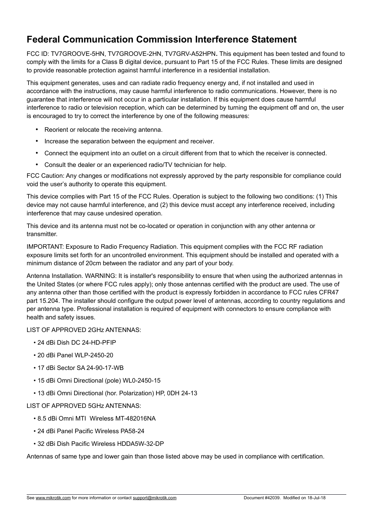#### **Federal Communication Commission Interference Statement**

FCC ID: TV7GROOVE-5HN, TV7GROOVE-2HN, TV7GRV-A52HPN**.** This equipment has been tested and found to comply with the limits for a Class B digital device, pursuant to Part 15 of the FCC Rules. These limits are designed to provide reasonable protection against harmful interference in a residential installation.

This equipment generates, uses and can radiate radio frequency energy and, if not installed and used in accordance with the instructions, may cause harmful interference to radio communications. However, there is no guarantee that interference will not occur in a particular installation. If this equipment does cause harmful interference to radio or television reception, which can be determined by turning the equipment off and on, the user is encouraged to try to correct the interference by one of the following measures:

- Reorient or relocate the receiving antenna.
- Increase the separation between the equipment and receiver.
- Connect the equipment into an outlet on a circuit different from that to which the receiver is connected.
- Consult the dealer or an experienced radio/TV technician for help.

FCC Caution: Any changes or modifications not expressly approved by the party responsible for compliance could void the user's authority to operate this equipment.

This device complies with Part 15 of the FCC Rules. Operation is subject to the following two conditions: (1) This device may not cause harmful interference, and (2) this device must accept any interference received, including interference that may cause undesired operation.

This device and its antenna must not be co-located or operation in conjunction with any other antenna or transmitter.

IMPORTANT: Exposure to Radio Frequency Radiation. This equipment complies with the FCC RF radiation exposure limits set forth for an uncontrolled environment. This equipment should be installed and operated with a minimum distance of 20cm between the radiator and any part of your body.

Antenna Installation. WARNING: It is installer's responsibility to ensure that when using the authorized antennas in the United States (or where FCC rules apply); only those antennas certified with the product are used. The use of any antenna other than those certified with the product is expressly forbidden in accordance to FCC rules CFR47 part 15.204. The installer should configure the output power level of antennas, according to country regulations and per antenna type. Professional installation is required of equipment with connectors to ensure compliance with health and safety issues.

LIST OF APPROVED 2GHz ANTENNAS:

- 24 dBi Dish DC 24-HD-PFIP
- 20 dBi Panel WLP-2450-20
- 17 dBi Sector SA 24-90-17-WB
- 15 dBi Omni Directional (pole) WL0-2450-15
- 13 dBi Omni Directional (hor. Polarization) HP, 0DH 24-13

LIST OF APPROVED 5GHz ANTENNAS:

- 8.5 dBi Omni MTI Wireless MT-482016NA
- 24 dBi Panel Pacific Wireless PA58-24
- 32 dBi Dish Pacific Wireless HDDA5W-32-DP

Antennas of same type and lower gain than those listed above may be used in compliance with certification.